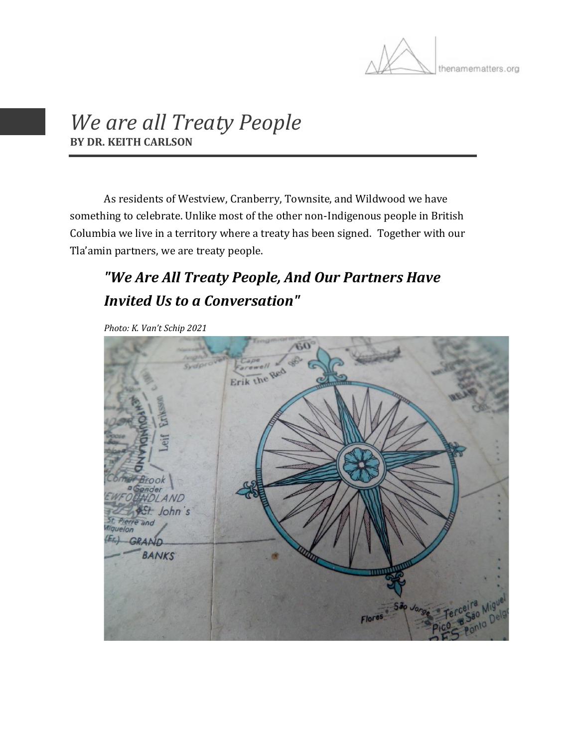

## *We are all Treaty People* **BY DR. KEITH CARLSON**

As residents of Westview, Cranberry, Townsite, and Wildwood we have something to celebrate. Unlike most of the other non-Indigenous people in British Columbia we live in a territory where a treaty has been signed. Together with our Tla'amin partners, we are treaty people.

## *"We Are All Treaty People, And Our Partners Have Invited Us to a Conversation"*

*Photo: K. Van't Schip 2021*

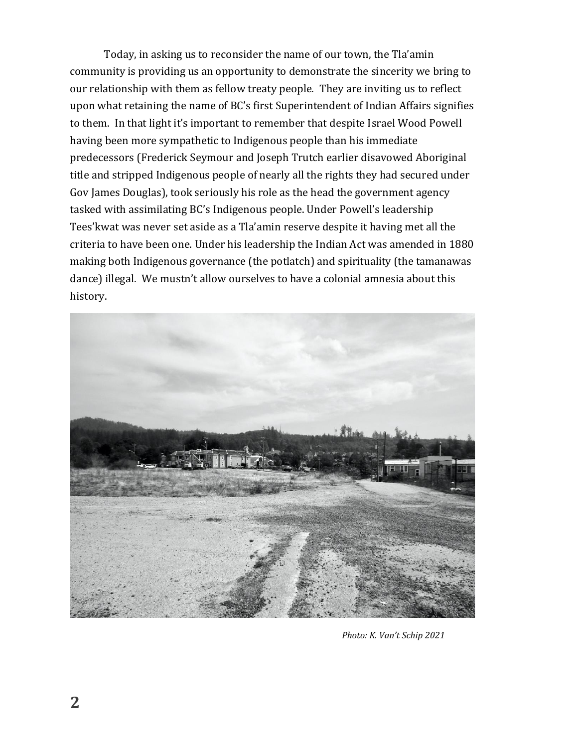Today, in asking us to reconsider the name of our town, the Tla'amin community is providing us an opportunity to demonstrate the sincerity we bring to our relationship with them as fellow treaty people. They are inviting us to reflect upon what retaining the name of BC's first Superintendent of Indian Affairs signifies to them. In that light it's important to remember that despite Israel Wood Powell having been more sympathetic to Indigenous people than his immediate predecessors (Frederick Seymour and Joseph Trutch earlier disavowed Aboriginal title and stripped Indigenous people of nearly all the rights they had secured under Gov James Douglas), took seriously his role as the head the government agency tasked with assimilating BC's Indigenous people. Under Powell's leadership Tees'kwat was never set aside as a Tla'amin reserve despite it having met all the criteria to have been one. Under his leadership the Indian Act was amended in 1880 making both Indigenous governance (the potlatch) and spirituality (the tamanawas dance) illegal. We mustn't allow ourselves to have a colonial amnesia about this history.



*Photo: K. Van't Schip 2021*